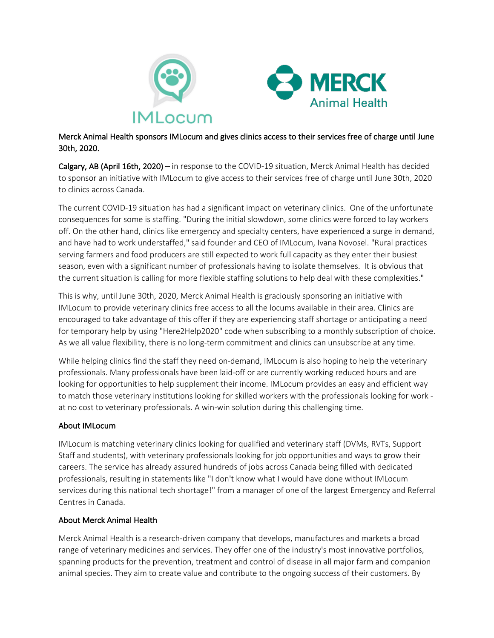



## Merck Animal Health sponsors IMLocum and gives clinics access to their services free of charge until June 30th, 2020.

Calgary, AB (April 16th, 2020) – in response to the COVID-19 situation, Merck Animal Health has decided to sponsor an initiative with IMLocum to give access to their services free of charge until June 30th, 2020 to clinics across Canada.

The current COVID-19 situation has had a significant impact on veterinary clinics. One of the unfortunate consequences for some is staffing. "During the initial slowdown, some clinics were forced to lay workers off. On the other hand, clinics like emergency and specialty centers, have experienced a surge in demand, and have had to work understaffed," said founder and CEO of IMLocum, Ivana Novosel. "Rural practices serving farmers and food producers are still expected to work full capacity as they enter their busiest season, even with a significant number of professionals having to isolate themselves. It is obvious that the current situation is calling for more flexible staffing solutions to help deal with these complexities."

This is why, until June 30th, 2020, Merck Animal Health is graciously sponsoring an initiative with IMLocum to provide veterinary clinics free access to all the locums available in their area. Clinics are encouraged to take advantage of this offer if they are experiencing staff shortage or anticipating a need for temporary help by using "Here2Help2020" code when subscribing to a monthly subscription of choice. As we all value flexibility, there is no long-term commitment and clinics can unsubscribe at any time.

While helping clinics find the staff they need on-demand, IMLocum is also hoping to help the veterinary professionals. Many professionals have been laid-off or are currently working reduced hours and are looking for opportunities to help supplement their income. IMLocum provides an easy and efficient way to match those veterinary institutions looking for skilled workers with the professionals looking for work at no cost to veterinary professionals. A win-win solution during this challenging time.

## About IMLocum

IMLocum is matching veterinary clinics looking for qualified and veterinary staff (DVMs, RVTs, Support Staff and students), with veterinary professionals looking for job opportunities and ways to grow their careers. The service has already assured hundreds of jobs across Canada being filled with dedicated professionals, resulting in statements like "I don't know what I would have done without IMLocum services during this national tech shortage!" from a manager of one of the largest Emergency and Referral Centres in Canada.

## About Merck Animal Health

Merck Animal Health is a research-driven company that develops, manufactures and markets a broad range of veterinary medicines and services. They offer one of the industry's most innovative portfolios, spanning products for the prevention, treatment and control of disease in all major farm and companion animal species. They aim to create value and contribute to the ongoing success of their customers. By